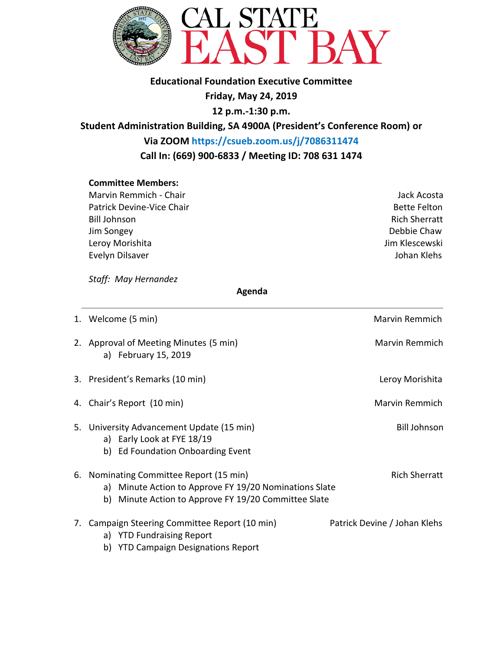

### **Educational Foundation Executive Committee**

**Friday, May 24, 2019**

**12 p.m.-1:30 p.m.**

**Student Administration Building, SA 4900A (President's Conference Room) or**

**Via ZOOM https://csueb.zoom.us/j/7086311474 Call In: (669) 900-6833 / Meeting ID: 708 631 1474**

### **Committee Members:**

Marvin Remmich - Chair **Jack Acosta** Jack Acosta Patrick Devine-Vice Chair Bette Felton and Device Chair Bette Felton Bill Johnson Rich Sherratt Jim Songey Debbie Chaw Leroy Morishita and The Controller and The Controller and The United States of the United States of the United Evelyn Dilsaver **Guide Evelyn Dilsaver** Annual Communication and Communication and Communication and Communication

*Staff: May Hernandez* 

### **Agenda**

| 1. Welcome (5 min)                                                                                                                                              | Marvin Remmich               |
|-----------------------------------------------------------------------------------------------------------------------------------------------------------------|------------------------------|
| 2. Approval of Meeting Minutes (5 min)<br>a) February 15, 2019                                                                                                  | Marvin Remmich               |
| 3. President's Remarks (10 min)                                                                                                                                 | Leroy Morishita              |
| 4. Chair's Report (10 min)                                                                                                                                      | Marvin Remmich               |
| 5. University Advancement Update (15 min)<br>a) Early Look at FYE 18/19<br>b) Ed Foundation Onboarding Event                                                    | <b>Bill Johnson</b>          |
| 6. Nominating Committee Report (15 min)<br>Minute Action to Approve FY 19/20 Nominations Slate<br>a)<br>Minute Action to Approve FY 19/20 Committee Slate<br>b) | <b>Rich Sherratt</b>         |
| 7. Campaign Steering Committee Report (10 min)<br>a) YTD Fundraising Report                                                                                     | Patrick Devine / Johan Klehs |

b) YTD Campaign Designations Report